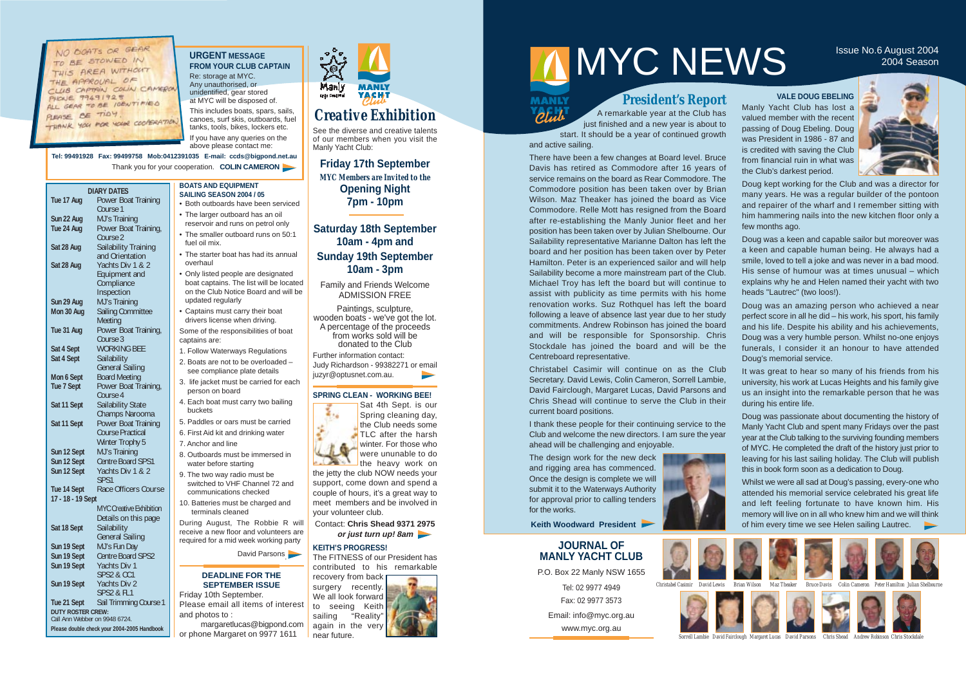# *Creative Exhibition*

**Friday 17th September** *MYC Members are Invited to the* **Opening Night 7pm - 10pm** 

See the diverse and creative talents of our members when you visit the Manly Yacht Club:

Paintings, sculpture, wooden boats - we've got the lot. A percentage of the proceeds from works sold will be donated to the Club Further information contact: Judy Richardson - 99382271 or email juzyr@optusnet.com.au. ┗

# **Saturday 18th September 10am - 4pm and Sunday 19th September 10am - 3pm**

Family and Friends Welcome ADMISSION FREE

NO BOATS OR GEAR TO BE STOWED IN THIS AREA WITHOUT THE APPROUAL OF CLUB CAPTAIN COLIN CAMERON **PICUE 99491925** ALL GEAR TO BE IDENTIFIED PLEASE BE TIDY THANK YOU FOR YOUR COOPERATION

**URGENT MESSAGE FROM YOUR CLUB CAPTAIN**  Re: storage at MYC. Any unauthorised, or

unidentified, gear stored at MYC will be disposed of. This includes boats, spars, sails, canoes, surf skis, outboards, fuel tanks, tools, bikes, lockers etc. If you have any queries on the above please contact me:

**Tel: 99491928 Fax: 99499758 Mob:0412391035 E-mail: ccds@bigpond.net.au** Thank you for your cooperation. **COLIN CAMERON** 

> **DEADLINE FOR THE SEPTEMBER ISSUE** • Captains must carry their boat drivers license when driving. Some of the responsibilities of boat 1. Follow Waterways Regulations 2. Boats are not to be overloaded – see compliance plate details 3. life jacket must be carried for each person on board 4. Each boat must carry two bailing 5. Paddles or oars must be carried 6. First Aid kit and drinking water 7. Anchor and line 8. Outboards must be immersed in water before starting 9. The two way radio must be switched to VHF Channel 72 and communications checked 10. Batteries must be charged and terminals cleaned During August, The Robbie R will receive a new floor and volunteers are required for a mid week working party David Parsons

It was great to hear so many of his friends from his university, his work at Lucas Heights and his family give us an insight into the remarkable person that he was during his entire life.

**DUTY ROSTER CREW:**  Call Ann Webber on 9948 6724. **Please double check your 2004-2005 Handbook**

# **JOURNAL OF MANLY YACHT CLUB**

P.O. Box 22 Manly NSW 1655 Tel: 02 9977 4949 Fax: 02 9977 3573 Email: info@myc.org.au

www.myc.org.au





Please email all items of interest and photos to :

margaretlucas@bigpond.com or phone Margaret on 9977 1611

Manly **MANLY** YACH<sub>1</sub>

**VALE DOUG EBELING**

Manly Yacht Club has lost a valued member with the recent passing of Doug Ebeling. Doug was President in 1986 - 87 and is credited with saving the Club from financial ruin in what was the Club's darkest period.



Doug kept working for the Club and was a director for many years. He was a regular builder of the pontoon and repairer of the wharf and I remember sitting with him hammering nails into the new kitchen floor only a few months ago.

Doug was a keen and capable sailor but moreover was a keen and capable human being. He always had a smile, loved to tell a joke and was never in a bad mood. His sense of humour was at times unusual – which explains why he and Helen named their yacht with two heads "Lautrec" (two loos!).

recovery from back surgery recently. We all look forward to seeing Keith sailing "Reality"

Doug was an amazing person who achieved a near perfect score in all he did – his work, his sport, his family and his life. Despite his ability and his achievements, Doug was a very humble person. Whilst no-one enjoys funerals, I consider it an honour to have attended Doug's memorial service.

Doug was passionate about documenting the history of Manly Yacht Club and spent many Fridays over the past year at the Club talking to the surviving founding members of MYC. He completed the draft of the history just prior to leaving for his last sailing holiday. The Club will publish this in book form soon as a dedication to Doug.

**DIARY DATES Tue 17 Aug** Power Boat Training Course 1 **Sun 22 Aug MJ's Training Tue 24 Aug** Power Boat Training, Course 2 **Sat 28 Aug** Sailability Training and Orientation **Sat 28 Aug** Yachts Div 1 & 2 Equipment and **Compliance Inspection Sun 29 Aug** MJ's Training **Mon 30 Aug** Sailing Committee **Meeting Tue 31 Aug** Power Boat Training, Course 3 **Sat 4 Sept** WORKING BEE **Sat 4 Sept** Sailability General Sailing **Mon 6 Sept** Board Meeting **Tue 7 Sept** Power Boat Training, Course 4 **Sat 11 Sept** Sailability State Champs Narooma **Sat 11 Sept** Power Boat Training Course Practical Winter Trophy 5 **Sun 12 Sept** MJ's Training **Sun 12 Sept** Centre Board SPS1 **Sun 12 Sept** Yachts Div 1 & 2 SPS1 Tue 14 Sept Race Officers Course **17 - 18 - 19 Sept** MYC Creative Exhibition Details on this page Sat 18 Sept Sailability General Sailing **Sun 19 Sept** MJ's Fun Day<br> **Sun 19 Sept** Centre Board ! **Centre Board SPS2 Sun 19 Sept** Yachts Div 1 SPS2 & CC1 **Sun 19 Sept** Yachts Div 2 SPS2 & FL1 **Tue 21 Sept** Sail Trimming Course 1 Friday 10th September. **SAILING SEASON 2004 / 05** • Both outboards have been serviced • The larger outboard has an oil reservoir and runs on petrol only • The smaller outboard runs on 50:1 fuel oil mix. • The starter boat has had its annual overhaul • Only listed people are designated boat captains. The list will be located on the Club Notice Board and will be updated regularly captains are: buckets

Whilst we were all sad at Doug's passing, every-one who attended his memorial service celebrated his great life and left feeling fortunate to have known him. His memory will live on in all who knew him and we will think of him every time we see Helen sailing Lautrec.

# Issue No.6 August 2004

# **President's Report**

A remarkable year at the Club has just finished and a new year is about to

start. It should be a year of continued growth and active sailing.

**MANLY** 

*Plub* 

There have been a few changes at Board level. Bruce Davis has retired as Commodore after 16 years of service remains on the board as Rear Commodore. The Commodore position has been taken over by Brian Wilson. Maz Theaker has joined the board as Vice Commodore. Relle Mott has resigned from the Board after re-establishing the Manly Junior fleet and her position has been taken over by Julian Shelbourne. Our Sailability representative Marianne Dalton has left the board and her position has been taken over by Peter Hamilton. Peter is an experienced sailor and will help Sailability become a more mainstream part of the Club. Michael Troy has left the board but will continue to assist with publicity as time permits with his home renovation works. Suz Rothquel has left the board following a leave of absence last year due to her study commitments. Andrew Robinson has joined the board and will be responsible for Sponsorship. Chris Stockdale has joined the board and will be the Centreboard representative.

Christabel Casimir will continue on as the Club Secretary. David Lewis, Colin Cameron, Sorrell Lambie, David Fairclough, Margaret Lucas, David Parsons and Chris Shead will continue to serve the Club in their current board positions.

I thank these people for their continuing service to the Club and welcome the new directors. I am sure the year ahead will be challenging and enjoyable.

The design work for the new deck and rigging area has commenced. Once the design is complete we will submit it to the Waterways Authority for approval prior to calling tenders for the works.



**Keith Woodward President** 



















*Sorrell Lambie David Fairclough Margaret Lucas David Parsons Chris Shead Andrew Robinson Chris Stockdale*

### **KEITH'S PROGRESS!**

The FITNESS of our President has contributed to his remarkable

again in the very near future.

# MYCNEWS SSUE NO.6 August 2004

**BOATS AND EQUIPMENT**

Sat 4th Sept. is our š. Spring cleaning day, the Club needs some TLC after the harsh winter. For those who were ununable to do the heavy work on the jetty the club NOW needs your support, come down and spend a couple of hours, it's a great way to meet members and be involved in your volunteer club.

Contact: **Chris Shead 9371 2975 or just turn up! 8am**

## **SPRING CLEAN - WORKING BEE!**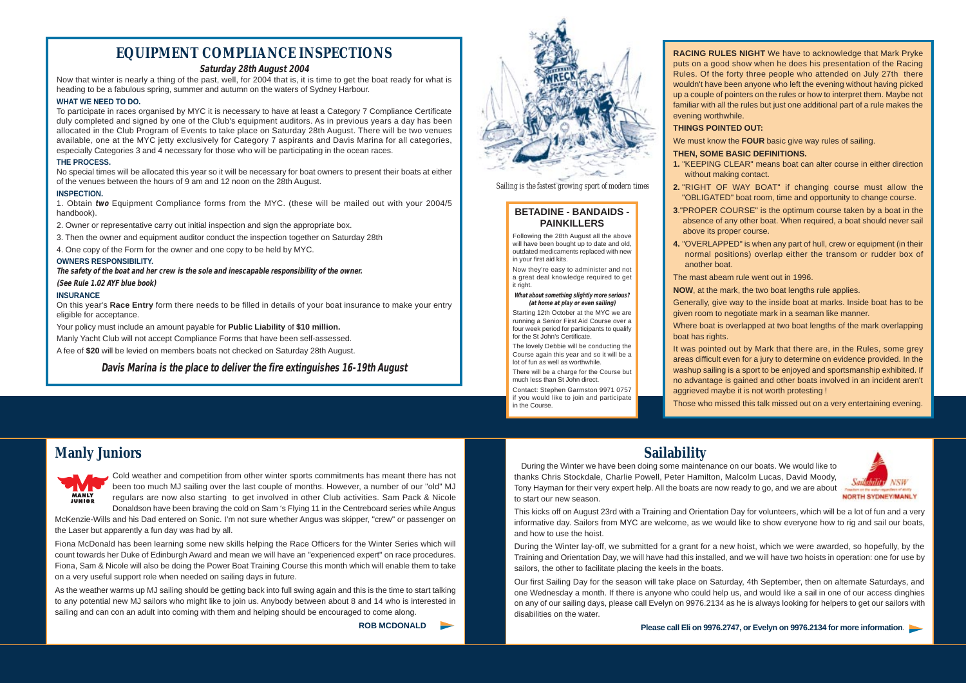**RACING RULES NIGHT** We have to acknowledge that Mark Pryke puts on a good show when he does his presentation of the Racing Rules. Of the forty three people who attended on July 27th there wouldn't have been anyone who left the evening without having picked up a couple of pointers on the rules or how to interpret them. Maybe not familiar with all the rules but just one additional part of a rule makes the evening worthwhile. **THINGS POINTED OUT:**

We must know the **FOUR** basic give way rules of sailing.

### **THEN, SOME BASIC DEFINITIONS.**

- **1.** "KEEPING CLEAR" means boat can alter course in either direction without making contact.
- **2.** "RIGHT OF WAY BOAT" if changing course must allow the "OBLIGATED" boat room, time and opportunity to change course.
- **3**."PROPER COURSE" is the optimum course taken by a boat in the absence of any other boat. When required, a boat should never sail above its proper course.
- **4.** "OVERLAPPED" is when any part of hull, crew or equipment (in their normal positions) overlap either the transom or rudder box of another boat.
- The mast abeam rule went out in 1996.
- **NOW**, at the mark, the two boat lengths rule applies.
- Generally, give way to the inside boat at marks. Inside boat has to be given room to negotiate mark in a seaman like manner.
- Where boat is overlapped at two boat lengths of the mark overlapping

boat has rights.

It was pointed out by Mark that there are, in the Rules, some grey areas difficult even for a jury to determine on evidence provided. In the washup sailing is a sport to be enjoyed and sportsmanship exhibited. If no advantage is gained and other boats involved in an incident aren't aggrieved maybe it is not worth protesting !

Those who missed this talk missed out on a very entertaining evening.



# **Sailability**

During the Winter we have been doing some maintenance on our boats. We would like to thanks Chris Stockdale, Charlie Powell, Peter Hamilton, Malcolm Lucas, David Moody, Tony Hayman for their very expert help. All the boats are now ready to go, and we are about to start our new season.

This kicks off on August 23rd with a Training and Orientation Day for volunteers, which will be a lot of fun and a very informative day. Sailors from MYC are welcome, as we would like to show everyone how to rig and sail our boats, and how to use the hoist.

During the Winter lay-off, we submitted for a grant for a new hoist, which we were awarded, so hopefully, by the Training and Orientation Day, we will have had this installed, and we will have two hoists in operation: one for use by sailors, the other to facilitate placing the keels in the boats.

Our first Sailing Day for the season will take place on Saturday, 4th September, then on alternate Saturdays, and one Wednesday a month. If there is anyone who could help us, and would like a sail in one of our access dinghies on any of our sailing days, please call Evelyn on 9976.2134 as he is always looking for helpers to get our sailors with disabilities on the water.

**Please call Eli on 9976.2747, or Evelyn on 9976.2134 for more information**.

*Sailing is the fastest growing sport of modern times*

**Manly Juniors**



Now they're easy to administer and not a great deal knowledge required to get it right.

Cold weather and competition from other winter sports commitments has meant there has not been too much MJ sailing over the last couple of months. However, a number of our "old" MJ regulars are now also starting to get involved in other Club activities. Sam Pack & Nicole Donaldson have been braving the cold on Sam 's Flying 11 in the Centreboard series while Angus

McKenzie-Wills and his Dad entered on Sonic. I'm not sure whether Angus was skipper, "crew" or passenger on the Laser but apparently a fun day was had by all.

Fiona McDonald has been learning some new skills helping the Race Officers for the Winter Series which will count towards her Duke of Edinburgh Award and mean we will have an "experienced expert" on race procedures. Fiona, Sam & Nicole will also be doing the Power Boat Training Course this month which will enable them to take on a very useful support role when needed on sailing days in future.

As the weather warms up MJ sailing should be getting back into full swing again and this is the time to start talking to any potential new MJ sailors who might like to join us. Anybody between about 8 and 14 who is interested in sailing and can con an adult into coming with them and helping should be encouraged to come along.

**ROB MCDONALD** 



# **EQUIPMENT COMPLIANCE INSPECTIONS**

# **Saturday 28th August 2004**

Now that winter is nearly a thing of the past, well, for 2004 that is, it is time to get the boat ready for what is heading to be a fabulous spring, summer and autumn on the waters of Sydney Harbour.

## **WHAT WE NEED TO DO.**

To participate in races organised by MYC it is necessary to have at least a Category 7 Compliance Certificate duly completed and signed by one of the Club's equipment auditors. As in previous years a day has been allocated in the Club Program of Events to take place on Saturday 28th August. There will be two venues available, one at the MYC jetty exclusively for Category 7 aspirants and Davis Marina for all categories, especially Categories 3 and 4 necessary for those who will be participating in the ocean races.

### **THE PROCESS.**

No special times will be allocated this year so it will be necessary for boat owners to present their boats at either of the venues between the hours of 9 am and 12 noon on the 28th August.

### **INSPECTION.**

1. Obtain **two** Equipment Compliance forms from the MYC. (these will be mailed out with your 2004/5 handbook).

- 2. Owner or representative carry out initial inspection and sign the appropriate box.
- 3. Then the owner and equipment auditor conduct the inspection together on Saturday 28th
- 4. One copy of the Form for the owner and one copy to be held by MYC.

### **OWNERS RESPONSIBILITY.**

**The safety of the boat and her crew is the sole and inescapable responsibility of the owner. (See Rule 1.02 AYF blue book)** 

### **INSURANCE**

On this year's **Race Entry** form there needs to be filled in details of your boat insurance to make your entry eligible for acceptance.

Your policy must include an amount payable for **Public Liability** of **\$10 million.**

Manly Yacht Club will not accept Compliance Forms that have been self-assessed.

A fee of **\$20** will be levied on members boats not checked on Saturday 28th August.

**Davis Marina is the place to deliver the fire extinguishes 16-19th August**

# **BETADINE - BANDAIDS - PAINKILLERS**

Following the 28th August all the above will have been bought up to date and old. outdated medicaments replaced with new in your first aid kits.

# **What about something slightly more serious?**

# **(at home at play or even sailing)**

Starting 12th October at the MYC we are running a Senior First Aid Course over a four week period for participants to qualify

for the St John's Certificate.

The lovely Debbie will be conducting the Course again this year and so it will be a

lot of fun as well as worthwhile.

There will be a charge for the Course but much less than St John direct.

Contact: Stephen Garmston 9971 0757 if you would like to join and participate in the Course.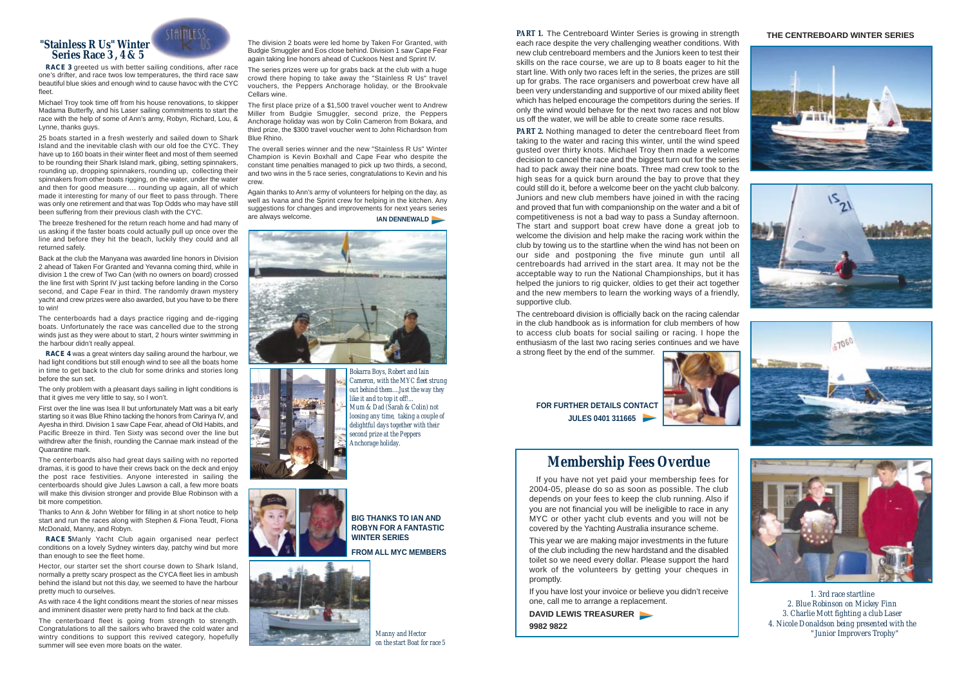**PART 1.** The Centreboard Winter Series is growing in strength each race despite the very challenging weather conditions. With new club centreboard members and the Juniors keen to test their skills on the race course, we are up to 8 boats eager to hit the start line. With only two races left in the series, the prizes are still up for grabs. The race organisers and powerboat crew have all been very understanding and supportive of our mixed ability fleet which has helped encourage the competitors during the series. If only the wind would behave for the next two races and not blow us off the water, we will be able to create some race results.

**PART 2.** Nothing managed to deter the centreboard fleet from taking to the water and racing this winter, until the wind speed gusted over thirty knots. Michael Troy then made a welcome decision to cancel the race and the biggest turn out for the series had to pack away their nine boats. Three mad crew took to the high seas for a quick burn around the bay to prove that they could still do it, before a welcome beer on the yacht club balcony. Juniors and new club members have joined in with the racing and proved that fun with companionship on the water and a bit of competitiveness is not a bad way to pass a Sunday afternoon. The start and support boat crew have done a great job to welcome the division and help make the racing work within the club by towing us to the startline when the wind has not been on our side and postponing the five minute gun until all centreboards had arrived in the start area. It may not be the acceptable way to run the National Championships, but it has helped the juniors to rig quicker, oldies to get their act together and the new members to learn the working ways of a friendly, supportive club.

The centreboard division is officially back on the racing calendar in the club handbook as is information for club members of how to access club boats for social sailing or racing. I hope the enthusiasm of the last two racing series continues and we have

a strong fleet by the end of the summer.



*1. 3rd race startline 2. Blue Robinson on Mickey Finn 3. Charlie Mott fighting a club Laser 4. Nicole Donaldson being presented with the "Junior Improvers Trophy"*

**FOR FURTHER DETAILS CONTACT JULES 0401 311665** 

# **THE CENTREBOARD WINTER SERIES**









# **Membership Fees Overdue**

If you have not yet paid your membership fees for 2004-05, please do so as soon as possible. The club depends on your fees to keep the club running. Also if you are not financial you will be ineligible to race in any MYC or other yacht club events and you will not be covered by the Yachting Australia insurance scheme.

This year we are making major investments in the future of the club including the new hardstand and the disabled toilet so we need every dollar. Please support the hard work of the volunteers by getting your cheques in promptly.

If you have lost your invoice or believe you didn't receive one, call me to arrange a replacement.

**DAVID LEWIS TREASURER 9982 9822**



# **"Stainless R Us" Winter Series Race 3 , 4 & 5**

**RACE 3** greeted us with better sailing conditions, after race one's drifter, and race twos low temperatures, the third race saw beautiful blue skies and enough wind to cause havoc with the CYC fleet.

Michael Troy took time off from his house renovations, to skipper Madama Butterfly, and his Laser sailing commitments to start the race with the help of some of Ann's army, Robyn, Richard, Lou, & Lynne, thanks guys.

25 boats started in a fresh westerly and sailed down to Shark Island and the inevitable clash with our old foe the CYC. They have up to 160 boats in their winter fleet and most of them seemed to be rounding their Shark Island mark, gibing, setting spinnakers, rounding up, dropping spinnakers, rounding up, collecting their spinnakers from other boats rigging, on the water, under the water and then for good measure…. rounding up again, all of which made it interesting for many of our fleet to pass through. There was only one retirement and that was Top Odds who may have still been suffering from their previous clash with the CYC.

Again thanks to Ann's army of volunteers for helping on the day, as well as Ivana and the Sprint crew for helping in the kitchen. Any suggestions for changes and improvements for next years series<br>are always welcome. **IAN DENNEWALD** 





The breeze freshened for the return reach home and had many of us asking if the faster boats could actually pull up once over the line and before they hit the beach, luckily they could and all returned safely.

Back at the club the Manyana was awarded line honors in Division 2 ahead of Taken For Granted and Yevanna coming third, while in division 1 the crew of Two Can (with no owners on board) crossed the line first with Sprint IV just tacking before landing in the Corso second, and Cape Fear in third. The randomly drawn mystery yacht and crew prizes were also awarded, but you have to be there to win!

The centerboards had a days practice rigging and de-rigging boats. Unfortunately the race was cancelled due to the strong winds just as they were about to start, 2 hours winter swimming in the harbour didn't really appeal.

**RACE 4** was a great winters day sailing around the harbour, we had light conditions but still enough wind to see all the boats home in time to get back to the club for some drinks and stories long before the sun set.

The only problem with a pleasant days sailing in light conditions is that it gives me very little to say, so I won't.

First over the line was Isea II but unfortunately Matt was a bit early starting so it was Blue Rhino tacking the honors from Carinya IV, and Ayesha in third. Division 1 saw Cape Fear, ahead of Old Habits, and Pacific Breeze in third. Ten Sixty was second over the line but withdrew after the finish, rounding the Cannae mark instead of the Quarantine mark.

The centerboards also had great days sailing with no reported dramas, it is good to have their crews back on the deck and enjoy the post race festivities. Anyone interested in sailing the centerboards should give Jules Lawson a call, a few more boats will make this division stronger and provide Blue Robinson with a bit more competition.

Thanks to Ann & John Webber for filling in at short notice to help start and run the races along with Stephen & Fiona Teudt, Fiona McDonald, Manny, and Robyn.

**RACE 5**Manly Yacht Club again organised near perfect conditions on a lovely Sydney winters day, patchy wind but more than enough to see the fleet home.

Hector, our starter set the short course down to Shark Island, normally a pretty scary prospect as the CYCA fleet lies in ambush behind the island but not this day, we seemed to have the harbour pretty much to ourselves.

As with race 4 the light conditions meant the stories of near misses and imminent disaster were pretty hard to find back at the club.

The centerboard fleet is going from strength to strength. Congratulations to all the sailors who braved the cold water and wintry conditions to support this revived category, hopefully summer will see even more boats on the water.

The division 2 boats were led home by Taken For Granted, with Budgie Smuggler and Eos close behind. Division 1 saw Cape Fear again taking line honors ahead of Cuckoos Nest and Sprint IV.

The series prizes were up for grabs back at the club with a huge crowd there hoping to take away the "Stainless R Us" travel vouchers, the Peppers Anchorage holiday, or the Brookvale Cellars wine.

The first place prize of a \$1,500 travel voucher went to Andrew Miller from Budgie Smuggler, second prize, the Peppers Anchorage holiday was won by Colin Cameron from Bokara, and third prize, the \$300 travel voucher went to John Richardson from Blue Rhino.

The overall series winner and the new "Stainless R Us" Winter Champion is Kevin Boxhall and Cape Fear who despite the constant time penalties managed to pick up two thirds, a second, and two wins in the 5 race series, congratulations to Kevin and his crew.

> *Bokarra Boys, Robert and Iain Cameron, with the MYC fleet strung out behind them....Just the way they like it and to top it off!... Mum & Dad (Sarah & Colin) not loosing any time, taking a couple of delightful days together with their second prize at the Peppers Anchorage holiday.*



**BIG THANKS TO IAN AND ROBYN FOR A FANTASTIC WINTER SERIES** 

**FROM ALL MYC MEMBERS**



*Manny and Hector on the start Boat for race 5*